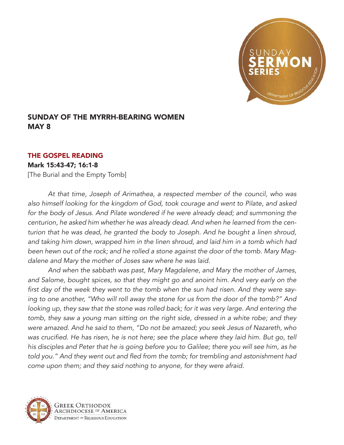

## SUNDAY OF THE MYRRH-BEARING WOMEN MAY 8

## THE GOSPEL READING

## Mark 15:43-47; 16:1-8

[The Burial and the Empty Tomb]

*At that time, Joseph of Arimathea, a respected member of the council, who was also himself looking for the kingdom of God, took courage and went to Pilate, and asked*  for the body of Jesus. And Pilate wondered if he were already dead; and summoning the *centurion, he asked him whether he was already dead. And when he learned from the centurion that he was dead, he granted the body to Joseph. And he bought a linen shroud, and taking him down, wrapped him in the linen shroud, and laid him in a tomb which had been hewn out of the rock; and he rolled a stone against the door of the tomb. Mary Magdalene and Mary the mother of Joses saw where he was laid.*

*And when the sabbath was past, Mary Magdalene, and Mary the mother of James, and Salome, bought spices, so that they might go and anoint him. And very early on the*  first day of the week they went to the tomb when the sun had risen. And they were say*ing to one another, "Who will roll away the stone for us from the door of the tomb?" And looking up, they saw that the stone was rolled back; for it was very large. And entering the tomb, they saw a young man sitting on the right side, dressed in a white robe; and they were amazed. And he said to them, "Do not be amazed; you seek Jesus of Nazareth, who*  was crucified. He has risen, he is not here; see the place where they laid him. But go, tell *his disciples and Peter that he is going before you to Galilee; there you will see him, as he*  told you." And they went out and fled from the tomb; for trembling and astonishment had *come upon them; and they said nothing to anyone, for they were afraid.*

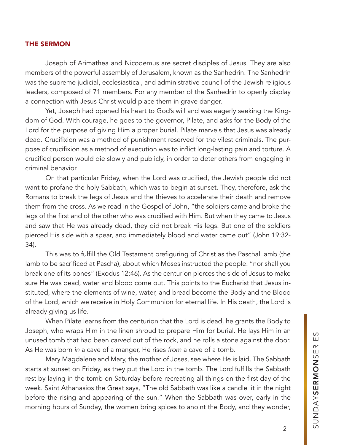## THE SERMON

Joseph of Arimathea and Nicodemus are secret disciples of Jesus. They are also members of the powerful assembly of Jerusalem, known as the Sanhedrin. The Sanhedrin was the supreme judicial, ecclesiastical, and administrative council of the Jewish religious leaders, composed of 71 members. For any member of the Sanhedrin to openly display a connection with Jesus Christ would place them in grave danger.

Yet, Joseph had opened his heart to God's will and was eagerly seeking the Kingdom of God. With courage, he goes to the governor, Pilate, and asks for the Body of the Lord for the purpose of giving Him a proper burial. Pilate marvels that Jesus was already dead. Crucifixion was a method of punishment reserved for the vilest criminals. The purpose of crucifixion as a method of execution was to inflict long-lasting pain and torture. A crucified person would die slowly and publicly, in order to deter others from engaging in criminal behavior.

On that particular Friday, when the Lord was crucified, the Jewish people did not want to profane the holy Sabbath, which was to begin at sunset. They, therefore, ask the Romans to break the legs of Jesus and the thieves to accelerate their death and remove them from the cross. As we read in the Gospel of John, "the soldiers came and broke the legs of the first and of the other who was crucified with Him. But when they came to Jesus and saw that He was already dead, they did not break His legs. But one of the soldiers pierced His side with a spear, and immediately blood and water came out" (John 19:32- 34).

This was to fulfill the Old Testament prefiguring of Christ as the Paschal lamb (the lamb to be sacrificed at Pascha), about which Moses instructed the people: "nor shall you break one of its bones" (Exodus 12:46). As the centurion pierces the side of Jesus to make sure He was dead, water and blood come out. This points to the Eucharist that Jesus instituted, where the elements of wine, water, and bread become the Body and the Blood of the Lord, which we receive in Holy Communion for eternal life. In His death, the Lord is already giving us life.

When Pilate learns from the centurion that the Lord is dead, he grants the Body to Joseph, who wraps Him in the linen shroud to prepare Him for burial. He lays Him in an unused tomb that had been carved out of the rock, and he rolls a stone against the door. As He was born *in* a cave of a manger, He rises *from* a cave of a tomb.

Mary Magdalene and Mary, the mother of Joses, see where He is laid. The Sabbath starts at sunset on Friday, as they put the Lord in the tomb. The Lord fulfills the Sabbath rest by laying in the tomb on Saturday before recreating all things on the first day of the week. Saint Athanasios the Great says, "The old Sabbath was like a candle lit in the night before the rising and appearing of the sun." When the Sabbath was over, early in the morning hours of Sunday, the women bring spices to anoint the Body, and they wonder,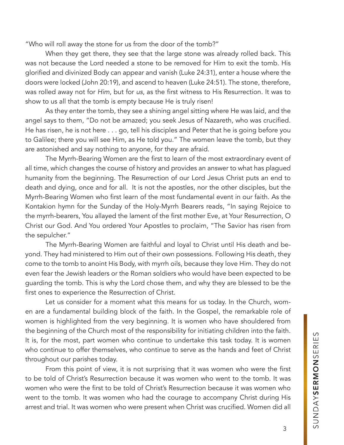"Who will roll away the stone for us from the door of the tomb?"

When they get there, they see that the large stone was already rolled back. This was not because the Lord needed a stone to be removed for Him to exit the tomb. His glorified and divinized Body can appear and vanish (Luke 24:31), enter a house where the doors were locked (John 20:19), and ascend to heaven (Luke 24:51). The stone, therefore, was rolled away not for Him, but for *us*, as the first witness to His Resurrection. It was to show to us all that the tomb is empty because He is truly risen!

As they enter the tomb, they see a shining angel sitting where He was laid, and the angel says to them, "Do not be amazed; you seek Jesus of Nazareth, who was crucified. He has risen, he is not here . . . go, tell his disciples and Peter that he is going before you to Galilee; there you will see Him, as He told you." The women leave the tomb, but they are astonished and say nothing to anyone, for they are afraid.

The Myrrh-Bearing Women are the first to learn of the most extraordinary event of all time, which changes the course of history and provides an answer to what has plagued humanity from the beginning. The Resurrection of our Lord Jesus Christ puts an end to death and dying, once and for all. It is not the apostles, nor the other disciples, but the Myrrh-Bearing Women who first learn of the most fundamental event in our faith. As the Kontakion hymn for the Sunday of the Holy-Myrrh Bearers reads, "In saying Rejoice to the myrrh-bearers, You allayed the lament of the first mother Eve, at Your Resurrection, O Christ our God. And You ordered Your Apostles to proclaim, "The Savior has risen from the sepulcher."

The Myrrh-Bearing Women are faithful and loyal to Christ until His death and beyond. They had ministered to Him out of their own possessions. Following His death, they come to the tomb to anoint His Body, with myrrh oils, because they love Him. They do not even fear the Jewish leaders or the Roman soldiers who would have been expected to be guarding the tomb. This is why the Lord chose them, and why they are blessed to be the first ones to experience the Resurrection of Christ.

Let us consider for a moment what this means for us today. In the Church, women are a fundamental building block of the faith. In the Gospel, the remarkable role of women is highlighted from the very beginning. It is women who have shouldered from the beginning of the Church most of the responsibility for initiating children into the faith. It is, for the most, part women who continue to undertake this task today. It is women who continue to offer themselves, who continue to serve as the hands and feet of Christ throughout our parishes today.

From this point of view, it is not surprising that it was women who were the first to be told of Christ's Resurrection because it was women who went to the tomb. It was women who were the first to be told of Christ's Resurrection because it was women who went to the tomb. It was women who had the courage to accompany Christ during His arrest and trial. It was women who were present when Christ was crucified. Women did all